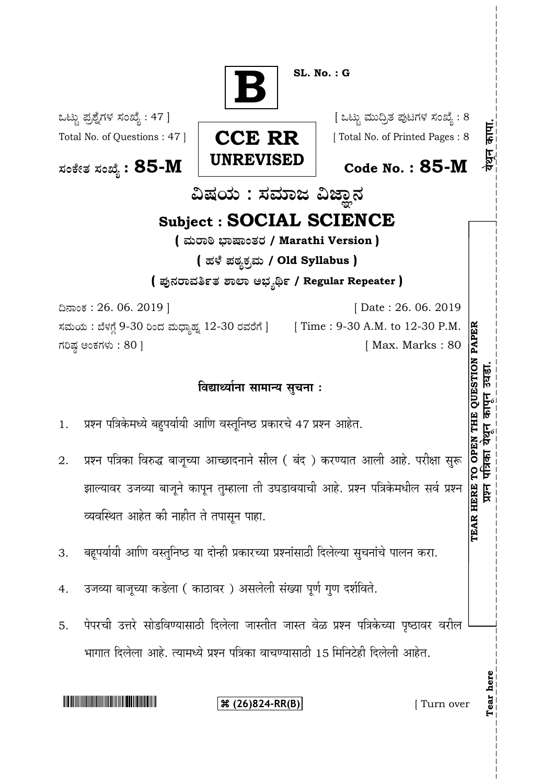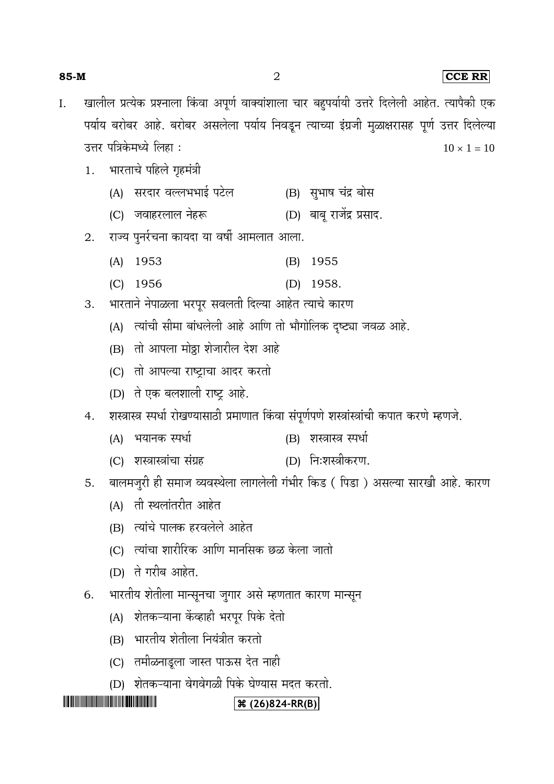#### **85-M** 2 **CCE RR**

- खालील प्रत्येक प्रश्नाला किंवा अपूर्ण वाक्यांशाला चार बहुपर्यायी उत्तरे दिलेली आहेत. त्यापैकी एक I. पर्याय बरोबर आहे. बरोबर असलेला पर्याय निवडून त्याच्या इंग्रजी मुळाक्षरासह पूर्ण उत्तर दिलेल्या उत्तर पत्रिकेमध्ये लिहा :  $10 \times 1 = 10$ 
	- भारताचे पहिले गृहमंत्री 1.
		- (A) सरदार वल्लभभाई पटेल (B) सुभाष चंद्र बोस
		- (C) जवाहरलाल नेहरू (D) बाबू राजेंद्र प्रसाद.
	- राज्य पुनर्रचना कायदा या वर्षी आमलात आला. 2.
		- (A) 1953 (B) 1955
		- (C) 1956 (D) 1958.

भारताने नेपाळला भरपूर सवलती दिल्या आहेत त्याचे कारण 3.

- (A) त्यांची सीमा बांधलेली आहे आणि तो भौगोलिक दृष्ट्या जवळ आहे.
- (B) तो आपला मोठ्ठा शेजारील देश आहे
- (C) तो आपल्या राष्ट्राचा आदर करतो
- (D) ते एक बलशाली राष्ट्र आहे.
- शस्त्रास्त्र स्पर्धा रोखण्यासाठी प्रमाणात किंवा संपूर्णपणे शस्त्रांस्त्रांची कपात करणे म्हणजे. 4.
	- (A) भयानक स्पर्धा (B) शस्त्रास्त्र स्पर्धा
	- (C) शस्त्रास्त्रांचा संग्रह (D) निःशस्त्रीकरण.

बालमजुरी ही समाज व्यवस्थेला लागलेली गंभीर किड ( पिडा ) असल्या सारखी आहे. कारण 5.

- (A) ती स्थलांतरीत आहेत
- (B) त्यांचे पालक हरवलेले आहेत
- (C) त्यांचा शारीरिक आणि मानसिक छळ केला जातो
- (D) ते गरीब आहेत.
- भारतीय शेतीला मान्सूनचा जुगार असे म्हणतात कारण मान्सून 6.
	- (A) शेतकऱ्याना केंव्हाही भरपूर पिके देतो
	- (B) भारतीय शेतीला नियंत्रीत करतो
	- (C) तमीळनाडूला जास्त पाऊस देत नाही
	- (D) शेतकऱ्याना वेगवेगळी पिके घेण्यास मदत करतो.

## 

#### **(26)824-RR(B)**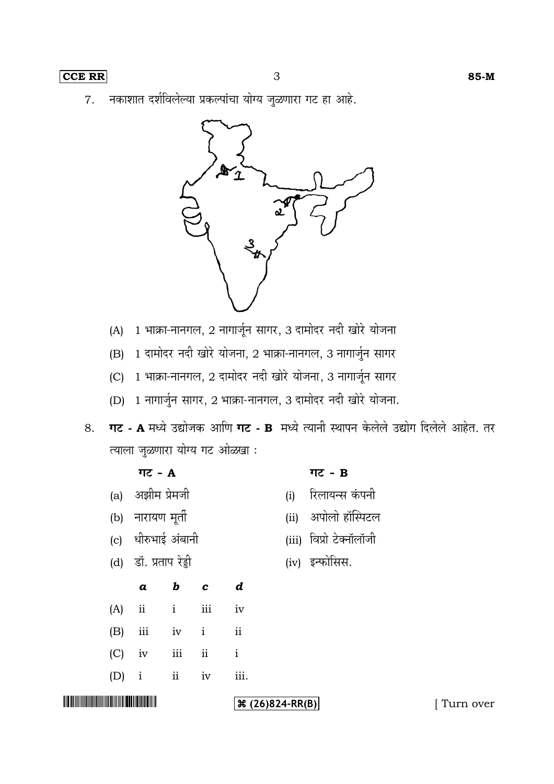नकाशात दर्शविलेल्या प्रकल्पांचा योग्य जुळणारा गट हा आहे. 7.



- (A) 1 भाक्रा-नानगल, 2 नागार्जून सागर, 3 दामोदर नदी खोरे योजना
- (B) 1 दामोदर नदी खोरे योजना, 2 भाक्रा-नानगल, 3 नागार्जुन सागर
- (C) 1 भाक्रा-नानगल, 2 दामोदर नदी खोरे योजना, 3 नागार्जून सागर
- (D) 1 नागार्जुन सागर, 2 भाक्रा-नानगल, 3 दामोदर नदी खोरे योजना.
- 8. **गट A** मध्ये उद्योजक आणि **गट B** मध्ये त्यानी स्थापन केलेले उद्योग दिलेले आहेत. तर त्याला जुळणारा योग्य गट ओळखा:

|                                                 |     | गट - A                |                    |           |                          |      | गट - B                  |           |
|-------------------------------------------------|-----|-----------------------|--------------------|-----------|--------------------------|------|-------------------------|-----------|
|                                                 | (a) | अझीम प्रेमजी          |                    |           |                          | (i)  | रिलायन्स कंपनी          |           |
|                                                 | (b) | नारायण मूर्ती         |                    |           |                          | (ii) | अपोलो हॉस्पिटल          |           |
|                                                 | (c) | धीरुभाई अंबानी        |                    |           |                          |      | (iii) विप्रो टेक्नॉलॉजी |           |
|                                                 |     | (d) डॉ. प्रताप रेड्डी |                    |           |                          |      | (iv) इन्फोसिस.          |           |
|                                                 |     | $\boldsymbol{a}$      | $b$ $c$            |           | $\boldsymbol{d}$         |      |                         |           |
|                                                 | (A) | ii                    | $\mathbf{i}$       | $\rm iii$ | iv                       |      |                         |           |
|                                                 | (B) | iii                   | iv<br>$\mathbf{i}$ |           | $\overline{\mathbf{ii}}$ |      |                         |           |
|                                                 | (C) | iv                    | iii                | ii        | $\mathbf{i}$             |      |                         |           |
|                                                 | (D) | $\mathbf{i}$          | ii                 | iv        | iii.                     |      |                         |           |
| <u> ANTIQUE A CARACTER DE LA PIERRE DE L'AN</u> |     |                       |                    |           | $\Re(26)824-RR(B)$       |      |                         | Turn over |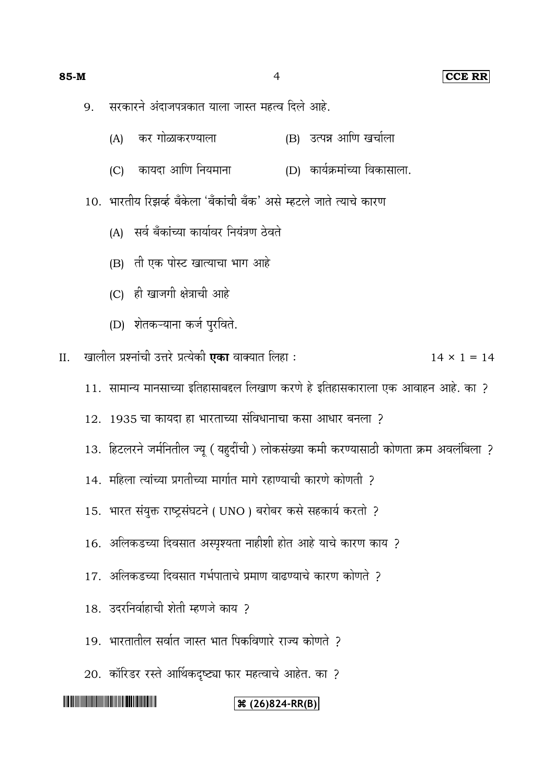#### **85-M** 4 **CCE RR**

- सरकारने अंदाजपत्रकात याला जास्त महत्व दिले आहे. 9.
	- (A) कर गोळाकरण्याला (B) उत्पन्न आणि खर्चाला
	- (C) कायदा आणि नियमाना (D) कार्यक्रमांच्या विकासाला.

10. भारतीय रिझर्व्ह बँकेला 'बँकांची बँक' असे म्हटले जाते त्याचे कारण

- (A) सर्व बँकांच्या कार्यावर नियंत्रण ठेवते
- (B) ती एक पोस्ट खात्याचा भाग आहे
- (C) ही खाजगी क्षेत्राची आहे
- (D) शेतकऱ्याना कर्ज पुरविते.

II. 14 × 1 = 14

- 11. सामान्य मानसाच्या इतिहासाबद्दल लिखाण करणे हे इतिहासकाराला एक आवाहन आहे. का ?
- 12. 1935
- 13. हिटलरने जर्मनितील ज्यू (यहुदींची) लोकसंख्या कमी करण्यासाठी कोणता क्रम अवलंबिला ?
- 14. महिला त्यांच्या प्रगतीच्या मार्गात मार्ग रहाण्याची कारणे कोणती ?
- 15. भारत संयुक्त राष्ट्रसंघटने ( UNO ) बरोबर कसे सहकार्य करतो ?
- 16. अलिकडच्या दिवसात अस्पृश्यता नाहीशी होत आहे याचे कारण काय ?
- 17. अलिकडच्या दिवसात गर्भपाताचे प्रमाण वाढण्याचे कारण कोणते ?
- 18. उदरनिर्वाहाची शेती म्हणजे काय ?
- 19. भारतातील सर्वात जास्त भात पिकविणारे राज्य कोणते २
- 20. कॉरिडर रस्ते आर्थिकदृष्ट्या फार महत्वाचे आहेत. का ?

## 

#### **(26)824-RR(B)**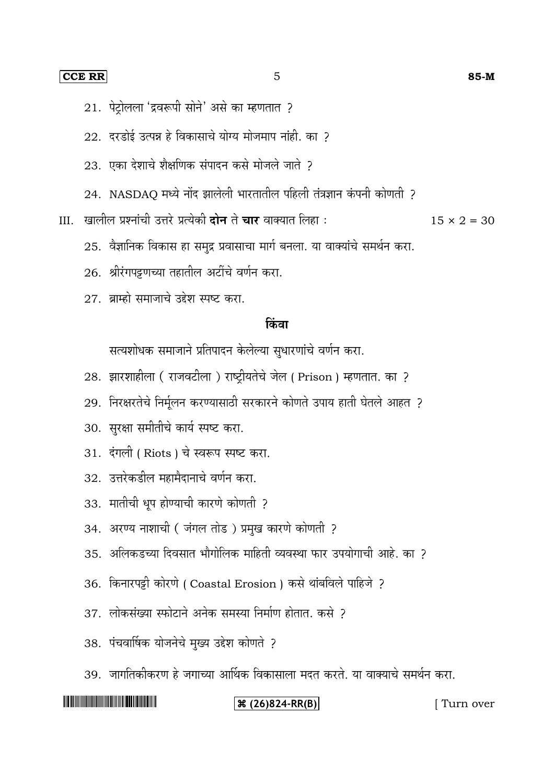#### **CCE RR** 5 **85-M**

- 21. पेट्रोलला 'द्रवरूपी सोने' असे का म्हणतात ?
- $22.$  दरडोई उत्पन्न हे विकासाचे योग्य मोजमाप नांही. का ?
- 23. एका देशाचे शैक्षणिक संपादन कसे मोजले जाते ?
- 24. NASDAQ
- III. खालील प्रश्नांची उत्तरे प्रत्येकी **दोन** ते **चार** वाक्यात लिहा :  $15 \times 2 = 30$

- 25. वैज्ञानिक विकास हा समुद्र प्रवासाचा मार्ग बनला. या वाक्यांचे समर्थन करा.
- 26. श्रीरंगपट्टणच्या तहातील अटींचे वर्णन करा.
- 27. ब्राम्हो समाजाचे उद्देश स्पष्ट करा.

#### किंवा

सत्यशोधक समाजाने प्रतिपादन केलेल्या सुधारणांचे वर्णन करा.

- 28. झारशाहीला ( राजवटीला ) राष्ट्रीयतेचे जेल ( Prison ) म्हणतात. का ?
- 29. निरक्षरतेचे निर्मुलन करण्यासाठी सरकारने कोणते उपाय हाती घेतले आहत ?
- 30. सुरक्षा समीतीचे कार्य स्पष्ट करा.
- 31. दंगली ( Riots ) चे स्वरूप स्पष्ट करा.
- 32. उत्तरेकडील महामैदानाचे वर्णन करा.
- 33. मातीची धूप होण्याची कारणे कोणती ?
- 34. अरण्य नाशाची (जंगल तोड) प्रमुख कारणे कोणती ?
- 35. अलिकडच्या दिवसात भौगोलिक माहिती व्यवस्था फार उपयोगाची आहे. का ?
- 36. किनारपट्टी कोरणे ( Coastal Erosion ) कसे थांबविले पाहिजे ?
- 37. लोकसंख्या स्फोटाने अनेक समस्या निर्माण होतात. कसे ?
- 38.
- 39. जागतिकीकरण हे जगाच्या आर्थिक विकासाला मदत करते. या वाक्याचे समर्थन करा.

#### <u> ANTI MINISTRA SA PARTI NA PINANA NA PINANA NA PINANA NA PINANA NA PINANA NA PINANA NA PINANA NA PINANA NA PINA</u>

#### **(26)824-RR(B)** [ Turn over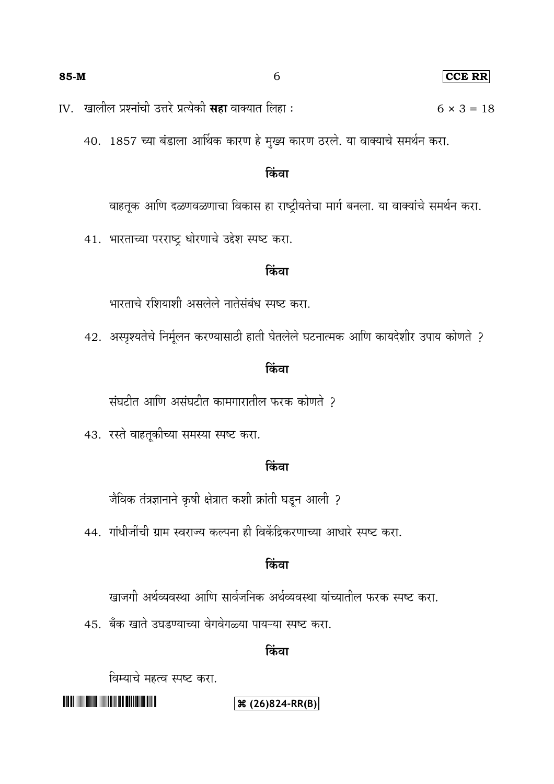IV. खालील प्रश्नांची उत्तरे प्रत्येकी **सहा** वाक्यात लिहा : 6 × 3 = 18

40. 1857 च्या बंडाला आर्थिक कारण हे मुख्य कारण ठरले. या वाक्याचे समर्थन करा.

## किंवा

वाहतूक आणि दळणवळणाचा विकास हा राष्ट्रीयतेचा मार्ग बनला. या वाक्यांचे समर्थन करा.

41. भारताच्या परराष्ट्र धोरणाचे उद्देश स्पष्ट करा.

#### किंवा

भारताचे रशियाशी असलेले नातेसंबंध स्पष्ट करा.

42. अस्पृश्यतेचे निर्मूलन करण्यासाठी हाती घेतलेले घटनात्मक आणि कायदेशीर उपाय कोणते ?

### किंवा

संघटीत आणि असंघटीत कामगारातील फरक कोणते ?

43. रस्ते वाहतूकीच्या समस्या स्पष्ट करा.

### किंवा

जैविक तंत्रज्ञानाने कृषी क्षेत्रात कशी क्रांती घडून आली ?

44. गांधीजींची ग्राम स्वराज्य कल्पना ही विकेंद्रिकरणाच्या आधारे स्पष्ट करा.

## किंवा

खाजगी अर्थव्यवस्था आणि सार्वजनिक अर्थव्यवस्था यांच्यातील फरक स्पष्ट करा.

45. बँक खाते उघडण्याच्या वेगवेगळ्या पायऱ्या स्पष्ट करा.

## किंवा

विम्याचे महत्व स्पष्ट करा.

## 

## **(26)824-RR(B)**

#### **85-M** 6 **CCE RR**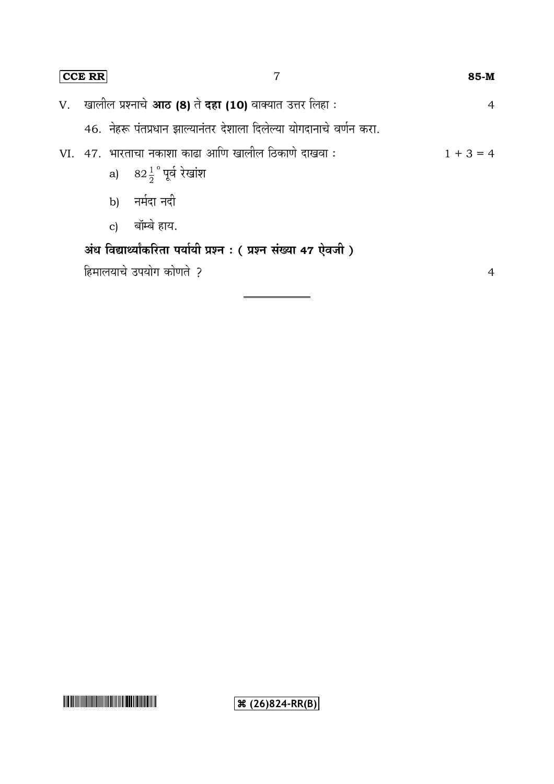| CCE RR |  |              |                                                                                          | 85-M        |  |
|--------|--|--------------|------------------------------------------------------------------------------------------|-------------|--|
|        |  |              | V.    खालील प्रश्नाचे <b>आठ (8)</b> ते <b>दहा (10)</b> वाक्यात उत्तर लिहा :              | 4           |  |
|        |  |              | 46. नेहरू पंतप्रधान झाल्यानंतर देशाला दिलेल्या योगदानाचे वर्णन करा.                      |             |  |
|        |  |              | VI. 47. भारताचा नकाशा काढा आणि खालील ठिकाणे दाखवा :<br>a) $82\frac{1}{2}$ ° पूर्व रेखांश | $1 + 3 = 4$ |  |
|        |  |              | b) नर्मदा नदी                                                                            |             |  |
|        |  | $\mathbf{c}$ | बॉम्बे हाय.                                                                              |             |  |
|        |  |              | अंध विद्यार्थ्यांकरिता पर्यायी प्रश्न : (प्रश्न संख्या 47 ऐवजी)                          |             |  |

हिमालयाचे उपयोग कोणते ?

4

# 

**(36)** (26) 824-RR(B)